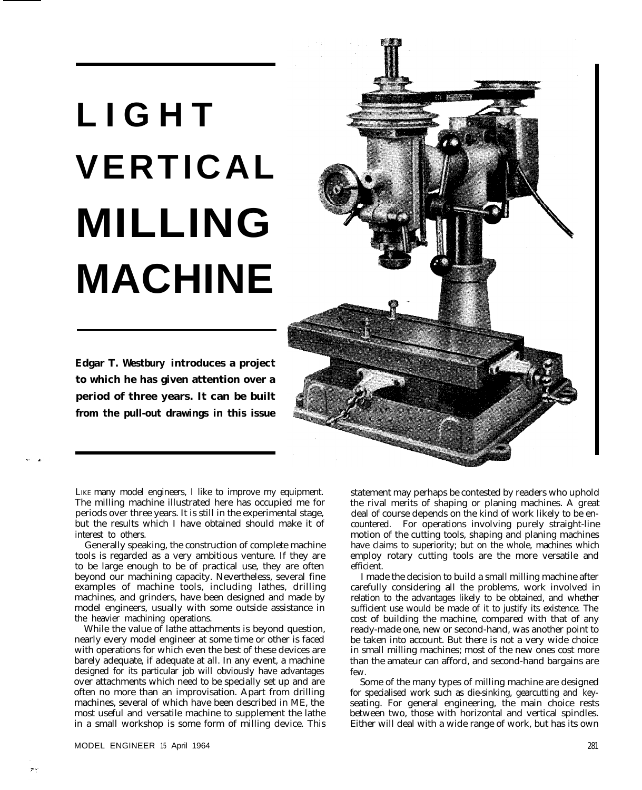## **LIGHT VERTICAL MILLING MACHINE**

**Edgar T. Westbury introduces a project to which he has given attention over a period of three years. It can be built from the pull-out drawings in this issue**



LIKE many model engineers, I like to improve my equipment. The milling machine illustrated here has occupied me for periods over three years. It is still in the experimental stage, but the results which I have obtained should make it of interest to others.

Generally speaking, the construction of complete machine tools is regarded as a very ambitious venture. If they are to be large enough to be of practical use, they are often beyond our machining capacity. Nevertheless, several fine examples of machine tools, including lathes, drilling machines, and grinders, have been designed and made by model engineers, usually with some outside assistance in the heavier machining operations.

While the value of lathe attachments is beyond question, nearly every model engineer at some time or other is faced with operations for which even the best of these devices are barely adequate, if adequate at all. In any event, a machine designed for its particular job will obviously have advantages over attachments which need to be specially set up and are often no more than an improvisation. Apart from drilling machines, several of which have been described in ME, the most useful and versatile machine to supplement the lathe in a small workshop is some form of milling device. This statement may perhaps be contested by readers who uphold the rival merits of shaping or planing machines. A great deal of course depends on the kind of work likely to be encountered. For operations involving purely straight-line motion of the cutting tools, shaping and planing machines have claims to superiority; but on the whole, machines which employ rotary cutting tools are the more versatile and efficient.

I made the decision to build a small milling machine after carefully considering all the problems, work involved in relation to the advantages likely to be obtained, and whether sufficient use would be made of it to justify its existence. The cost of building the machine, compared with that of any ready-made one, new or second-hand, was another point to be taken into account. But there is not a very wide choice in small milling machines; most of the new ones cost more than the amateur can afford, and second-hand bargains are few.

Some of the many types of milling machine are designed for specialised work such as die-sinking, gearcutting and keyseating. For general engineering, the main choice rests between two, those with horizontal and vertical spindles. Either will deal with a wide range of work, but has its own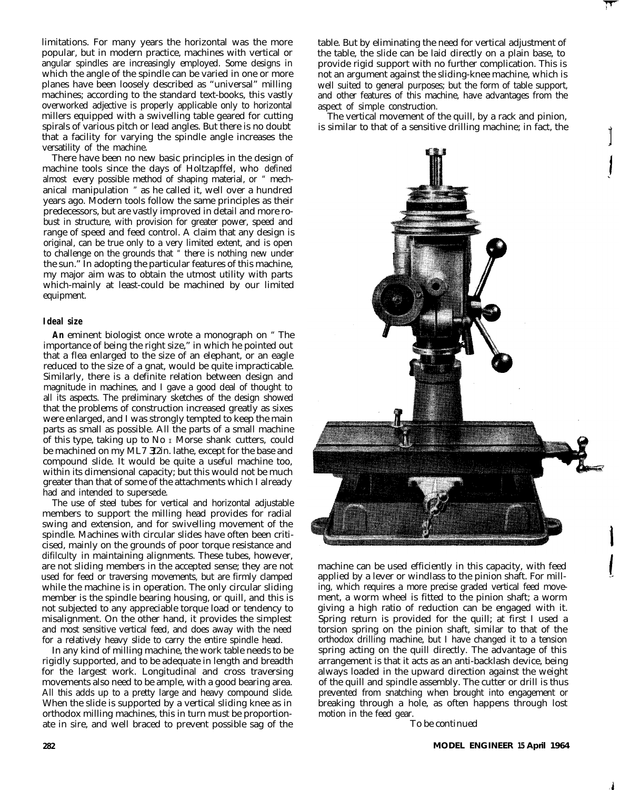limitations. For many years the horizontal was the more popular, but in modern practice, machines with vertical or angular spindles are increasingly employed. Some designs in which the angle of the spindle can be varied in one or more planes have been loosely described as "universal" milling machines; according to the standard text-books, this vastly overworked adjective is properly applicable only to horizontal millers equipped with a swivelling table geared for cutting spirals of various pitch or lead angles. But there is no doubt that a facility for varying the spindle angle increases the versatility of the machine.

There have been no new basic principles in the design of machine tools since the days of Holtzapffel, who defined almost every possible method of shaping material, or " mechanical manipulation " as he called it, well over a hundred years ago. Modern tools follow the same principles as their predecessors, but are vastly improved in detail and more robust in structure, with provision for greater power, speed and range of speed and feed control. A claim that any design is original, can be true only to a very limited extent, and is open to challenge on the grounds that " there is nothing new under the sun." In adopting the particular features of this machine, my major aim was to obtain the utmost utility with parts which-mainly at least-could be machined by our limited equipment.

## **Ideal size**

**An** eminent biologist once wrote a monograph on " The importance of being the right size," in which he pointed out that a flea enlarged to the size of an elephant, or an eagle reduced to the size of a gnat, would be quite impracticable. Similarly, there is a definite relation between design and magnitude in machines, and I gave a good deal of thought to all its aspects. The preliminary sketches of the design showed that the problems of construction increased greatly as sixes were enlarged, and I was strongly tempted to keep the main parts as small as possible. All the parts of a small machine of this type, taking up to No  $<sub>I</sub>$  Morse shank cutters, could</sub> be machined on my ML7 3/2in. lathe, except for the base and compound slide. It would be quite a useful machine too, within its dimensional capacity; but this would not be much greater than that of some of the attachments which I already had and intended to supersede.

The use of steel tubes for vertical and horizontal adjustable members to support the milling head provides for radial swing and extension, and for swivelling movement of the spindle. Machines with circular slides have often been criticised, mainly on the grounds of poor torque resistance and difilculty in maintaining alignments. These tubes, however, are not sliding members in the accepted sense; they are not used for feed or traversing movements, but are firmly clamped while the machine is in operation. The only circular sliding member is the spindle bearing housing, or quill, and this is not subjected to any appreciable torque load or tendency to misalignment. On the other hand, it provides the simplest and most sensitive vertical feed, and does away with the need for a relatively heavy slide to carry the entire spindle head.

In any kind of milling machine, the work table needs to be rigidly supported, and to be adequate in length and breadth for the largest work. Longitudinal and cross traversing movements also need to be ample, with a good bearing area. All this adds up to a pretty large and heavy compound slide. When the slide is supported by a vertical sliding knee as in orthodox milling machines, this in turn must be proportionate in sire, and well braced to prevent possible sag of the

table. But by eliminating the need for vertical adjustment of the table, the slide can be laid directly on a plain base, to provide rigid support with no further complication. This is not an argument against the sliding-knee machine, which is well suited to general purposes; but the form of table support, and other features of this machine, have advantages from the aspect of simple construction.

The vertical movement of the quill, by a rack and pinion, is similar to that of a sensitive drilling machine; in fact, the



machine can be used efficiently in this capacity, with feed applied by a lever or windlass to the pinion shaft. For milling, which requires a more precise graded vertical feed movement, a worm wheel is fitted to the pinion shaft; a worm giving a high ratio of reduction can be engaged with it. Spring return is provided for the quill; at first I used a torsion spring on the pinion shaft, similar to that of the orthodox drilling machine, but I have changed it to a tension spring acting on the quill directly. The advantage of this arrangement is that it acts as an anti-backlash device, being always loaded in the upward direction against the weight of the quill and spindle assembly. The cutter or drill is thus prevented from snatching when brought into engagement or breaking through a hole, as often happens through lost motion in the feed gear.

*To be continued*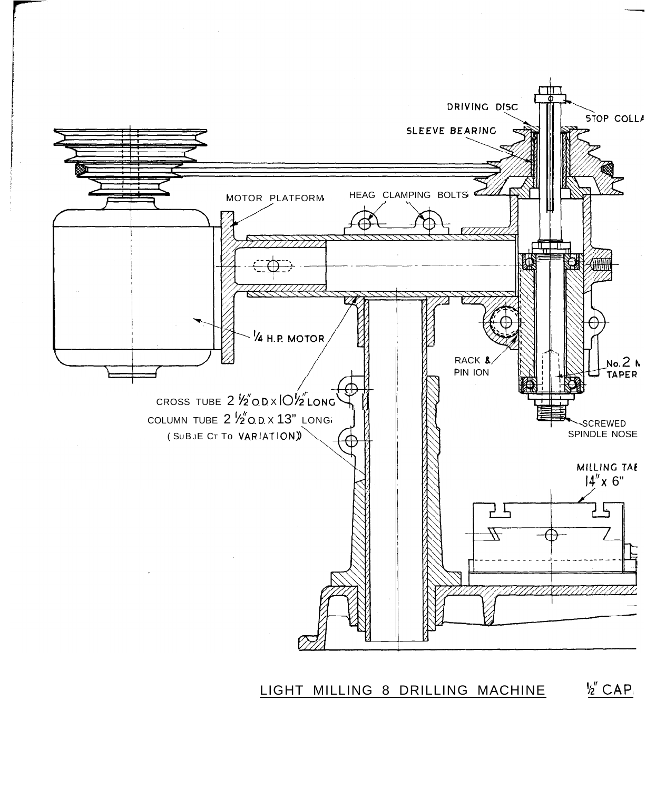

LIGHT MILLING 8 DRILLING MACHINE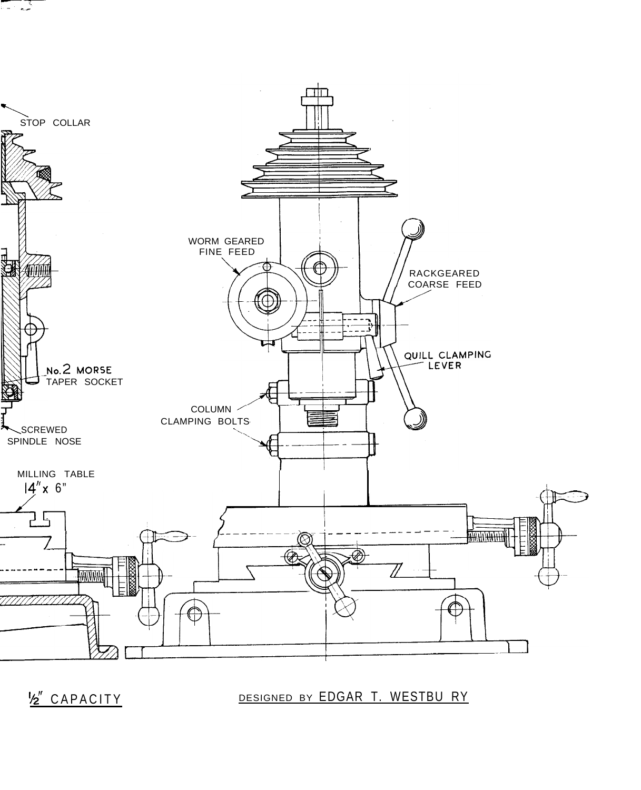

**besigned by EDGAR T. WESTBU RY** DESIGNED BY EDGAR T. WESTBU RY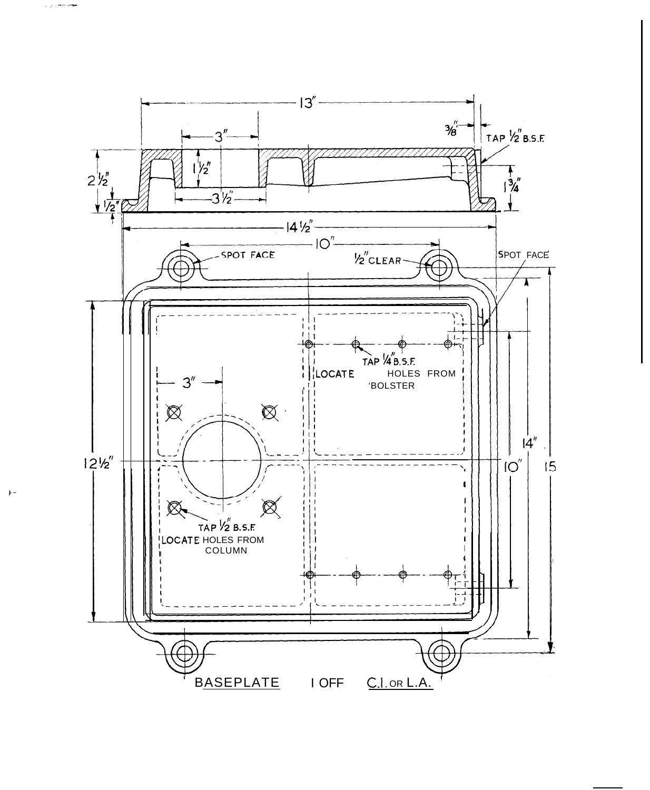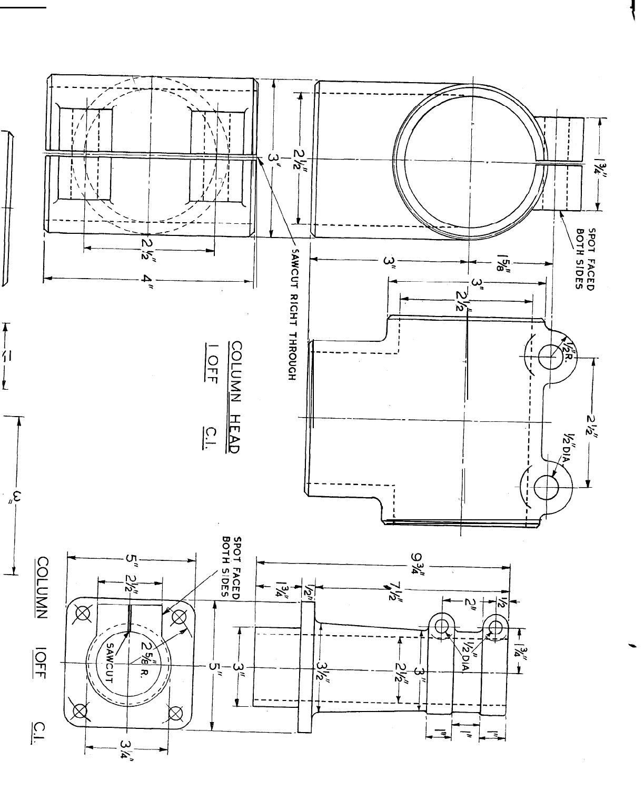